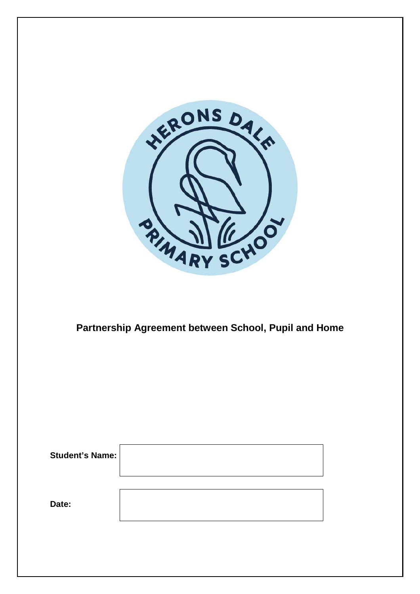

## **Partnership Agreement between School, Pupil and Home**

| <b>Student's Name:</b> |  |
|------------------------|--|
|                        |  |
| Date:                  |  |
|                        |  |